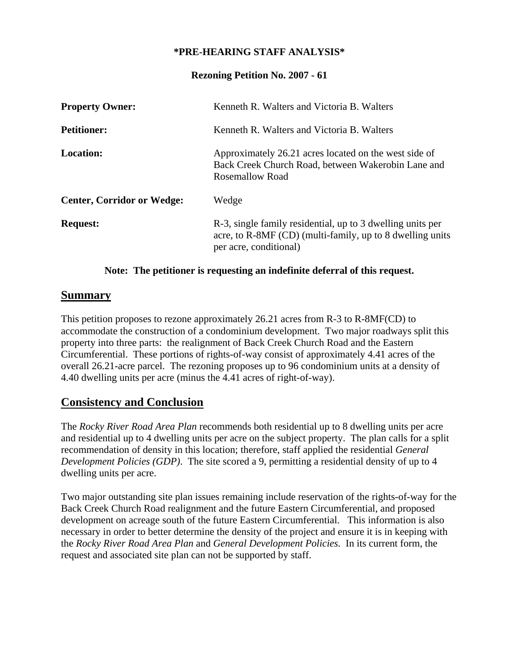### **\*PRE-HEARING STAFF ANALYSIS\***

#### **Rezoning Petition No. 2007 - 61**

| <b>Property Owner:</b>            | Kenneth R. Walters and Victoria B. Walters                                                                                                        |
|-----------------------------------|---------------------------------------------------------------------------------------------------------------------------------------------------|
| <b>Petitioner:</b>                | Kenneth R. Walters and Victoria B. Walters                                                                                                        |
| Location:                         | Approximately 26.21 acres located on the west side of<br>Back Creek Church Road, between Wakerobin Lane and<br>Rosemallow Road                    |
| <b>Center, Corridor or Wedge:</b> | Wedge                                                                                                                                             |
| <b>Request:</b>                   | R-3, single family residential, up to 3 dwelling units per<br>acre, to R-8MF (CD) (multi-family, up to 8 dwelling units<br>per acre, conditional) |

#### **Note: The petitioner is requesting an indefinite deferral of this request.**

### **Summary**

This petition proposes to rezone approximately 26.21 acres from R-3 to R-8MF(CD) to accommodate the construction of a condominium development. Two major roadways split this property into three parts: the realignment of Back Creek Church Road and the Eastern Circumferential. These portions of rights-of-way consist of approximately 4.41 acres of the overall 26.21-acre parcel. The rezoning proposes up to 96 condominium units at a density of 4.40 dwelling units per acre (minus the 4.41 acres of right-of-way).

# **Consistency and Conclusion**

The *Rocky River Road Area Plan* recommends both residential up to 8 dwelling units per acre and residential up to 4 dwelling units per acre on the subject property. The plan calls for a split recommendation of density in this location; therefore, staff applied the residential *General Development Policies (GDP)*. The site scored a 9, permitting a residential density of up to 4 dwelling units per acre.

Two major outstanding site plan issues remaining include reservation of the rights-of-way for the Back Creek Church Road realignment and the future Eastern Circumferential, and proposed development on acreage south of the future Eastern Circumferential. This information is also necessary in order to better determine the density of the project and ensure it is in keeping with the *Rocky River Road Area Plan* and *General Development Policies.* In its current form, the request and associated site plan can not be supported by staff.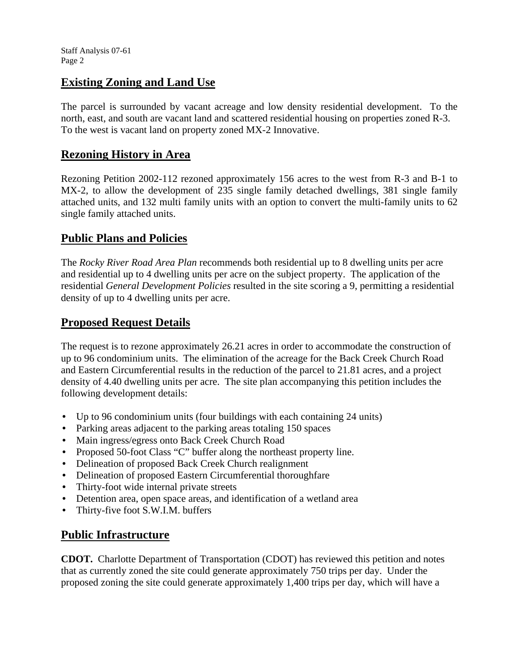# **Existing Zoning and Land Use**

The parcel is surrounded by vacant acreage and low density residential development. To the north, east, and south are vacant land and scattered residential housing on properties zoned R-3. To the west is vacant land on property zoned MX-2 Innovative.

## **Rezoning History in Area**

Rezoning Petition 2002-112 rezoned approximately 156 acres to the west from R-3 and B-1 to MX-2, to allow the development of 235 single family detached dwellings, 381 single family attached units, and 132 multi family units with an option to convert the multi-family units to 62 single family attached units.

# **Public Plans and Policies**

The *Rocky River Road Area Plan* recommends both residential up to 8 dwelling units per acre and residential up to 4 dwelling units per acre on the subject property. The application of the residential *General Development Policies* resulted in the site scoring a 9, permitting a residential density of up to 4 dwelling units per acre.

# **Proposed Request Details**

The request is to rezone approximately 26.21 acres in order to accommodate the construction of up to 96 condominium units. The elimination of the acreage for the Back Creek Church Road and Eastern Circumferential results in the reduction of the parcel to 21.81 acres, and a project density of 4.40 dwelling units per acre. The site plan accompanying this petition includes the following development details:

- Up to 96 condominium units (four buildings with each containing 24 units)
- Parking areas adjacent to the parking areas totaling 150 spaces
- Main ingress/egress onto Back Creek Church Road
- Proposed 50-foot Class "C" buffer along the northeast property line.
- Delineation of proposed Back Creek Church realignment
- Delineation of proposed Eastern Circumferential thoroughfare
- Thirty-foot wide internal private streets
- Detention area, open space areas, and identification of a wetland area
- Thirty-five foot S.W.I.M. buffers

# **Public Infrastructure**

**CDOT.** Charlotte Department of Transportation (CDOT) has reviewed this petition and notes that as currently zoned the site could generate approximately 750 trips per day. Under the proposed zoning the site could generate approximately 1,400 trips per day, which will have a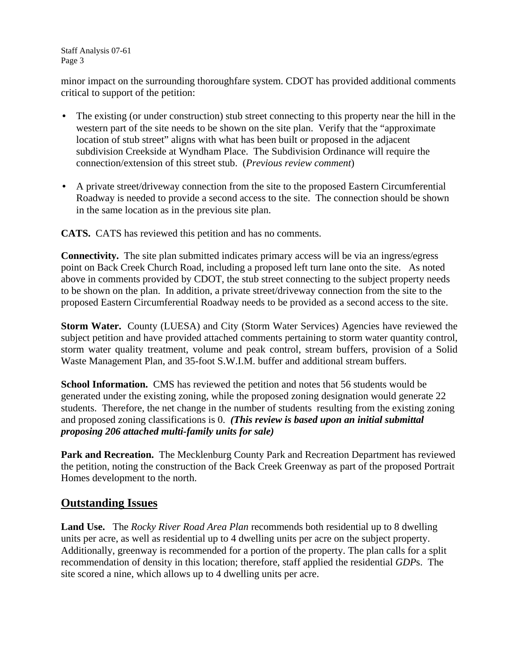Staff Analysis 07-61 Page 3

minor impact on the surrounding thoroughfare system. CDOT has provided additional comments critical to support of the petition:

- The existing (or under construction) stub street connecting to this property near the hill in the western part of the site needs to be shown on the site plan. Verify that the "approximate location of stub street" aligns with what has been built or proposed in the adjacent subdivision Creekside at Wyndham Place. The Subdivision Ordinance will require the connection/extension of this street stub. (*Previous review comment*)
- A private street/driveway connection from the site to the proposed Eastern Circumferential Roadway is needed to provide a second access to the site. The connection should be shown in the same location as in the previous site plan.

**CATS.** CATS has reviewed this petition and has no comments.

**Connectivity.** The site plan submitted indicates primary access will be via an ingress/egress point on Back Creek Church Road, including a proposed left turn lane onto the site. As noted above in comments provided by CDOT, the stub street connecting to the subject property needs to be shown on the plan. In addition, a private street/driveway connection from the site to the proposed Eastern Circumferential Roadway needs to be provided as a second access to the site.

**Storm Water.** County (LUESA) and City (Storm Water Services) Agencies have reviewed the subject petition and have provided attached comments pertaining to storm water quantity control, storm water quality treatment, volume and peak control, stream buffers, provision of a Solid Waste Management Plan, and 35-foot S.W.I.M. buffer and additional stream buffers.

**School Information.** CMS has reviewed the petition and notes that 56 students would be generated under the existing zoning, while the proposed zoning designation would generate 22 students. Therefore, the net change in the number of students resulting from the existing zoning and proposed zoning classifications is 0.*(This review is based upon an initial submittal proposing 206 attached multi-family units for sale)* 

**Park and Recreation.** The Mecklenburg County Park and Recreation Department has reviewed the petition, noting the construction of the Back Creek Greenway as part of the proposed Portrait Homes development to the north.

### **Outstanding Issues**

**Land Use.** The *Rocky River Road Area Plan* recommends both residential up to 8 dwelling units per acre, as well as residential up to 4 dwelling units per acre on the subject property. Additionally, greenway is recommended for a portion of the property. The plan calls for a split recommendation of density in this location; therefore, staff applied the residential *GDP*s. The site scored a nine, which allows up to 4 dwelling units per acre.